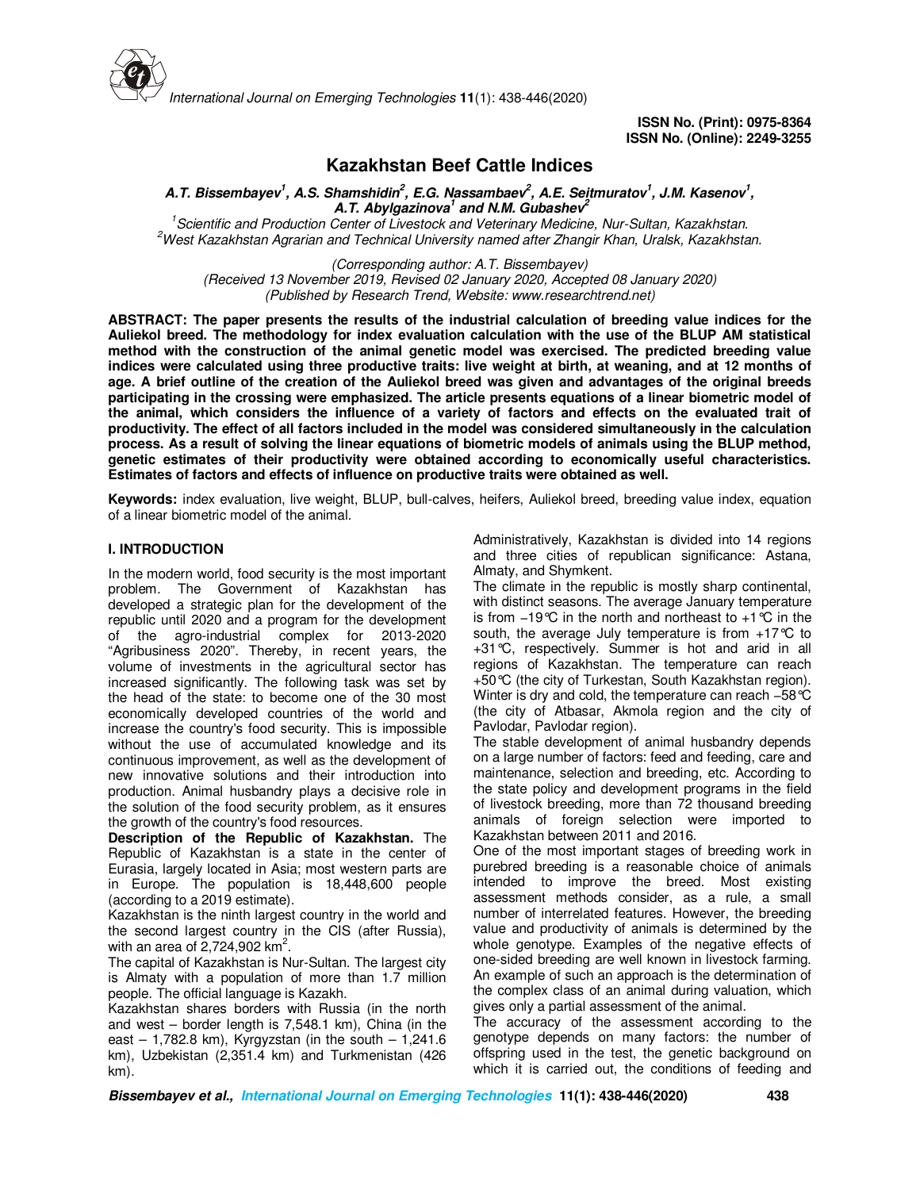

# **Kazakhstan Beef Cattle Indices**

**A.T. Bissembayev<sup>1</sup> , A.S. Shamshidin<sup>2</sup> , E.G. Nassambaev<sup>2</sup> , A.E. Seitmuratov<sup>1</sup> , J.M. Kasenov<sup>1</sup> , A.T. Abylgazinova<sup>1</sup> and N.M. Gubashev<sup>2</sup>**

*<sup>1</sup>Scientific and Production Center of Livestock and Veterinary Medicine, Nur-Sultan, Kazakhstan. <sup>2</sup>West Kazakhstan Agrarian and Technical University named after Zhangir Khan, Uralsk, Kazakhstan.*

*(Corresponding author: A.T. Bissembayev) (Received 13 November 2019, Revised 02 January 2020, Accepted 08 January 2020) (Published by Research Trend, Website: www.researchtrend.net)*

**ABSTRACT: The paper presents the results of the industrial calculation of breeding value indices for the Auliekol breed. The methodology for index evaluation calculation with the use of the BLUP AM statistical method with the construction of the animal genetic model was exercised. The predicted breeding value indices were calculated using three productive traits: live weight at birth, at weaning, and at 12 months of age. A brief outline of the creation of the Auliekol breed was given and advantages of the original breeds participating in the crossing were emphasized. The article presents equations of a linear biometric model of the animal, which considers the influence of a variety of factors and effects on the evaluated trait of productivity. The effect of all factors included in the model was considered simultaneously in the calculation process. As a result of solving the linear equations of biometric models of animals using the BLUP method, genetic estimates of their productivity were obtained according to economically useful characteristics. Estimates of factors and effects of influence on productive traits were obtained as well.** 

**Keywords:** index evaluation, live weight, BLUP, bull-calves, heifers, Auliekol breed, breeding value index, equation of a linear biometric model of the animal.

### **I. INTRODUCTION**

In the modern world, food security is the most important problem. The Government of Kazakhstan has developed a strategic plan for the development of the republic until 2020 and a program for the development of the agro-industrial complex for 2013-2020 "Agribusiness 2020". Thereby, in recent years, the volume of investments in the agricultural sector has increased significantly. The following task was set by the head of the state: to become one of the 30 most economically developed countries of the world and increase the country's food security. This is impossible without the use of accumulated knowledge and its continuous improvement, as well as the development of new innovative solutions and their introduction into production. Animal husbandry plays a decisive role in the solution of the food security problem, as it ensures the growth of the country's food resources.

**Description of the Republic of Kazakhstan.** The Republic of Kazakhstan is a state in the center of Eurasia, largely located in Asia; most western parts are in Europe. The population is 18,448,600 people (according to a 2019 estimate).

Kazakhstan is the ninth largest country in the world and the second largest country in the CIS (after Russia), with an area of  $2,724,902$  km<sup>2</sup>.

The capital of Kazakhstan is Nur-Sultan. The largest city is Almaty with a population of more than 1.7 million people. The official language is Kazakh.

Kazakhstan shares borders with Russia (in the north and west – border length is 7,548.1 km), China (in the east  $-1,782.8$  km), Kyrgyzstan (in the south  $-1,241.6$ km), Uzbekistan (2,351.4 km) and Turkmenistan (426 km).

Administratively, Kazakhstan is divided into 14 regions and three cities of republican significance: Astana, Almaty, and Shymkent.

The climate in the republic is mostly sharp continental, with distinct seasons. The average January temperature is from −19°C in the north and northeast to +1°C in the south, the average July temperature is from  $+17^{\circ}C$  to +31°C, respectively. Summer is hot and arid in all regions of Kazakhstan. The temperature can reach +50°C (the city of Turkestan, South Kazakhstan region). Winter is dry and cold, the temperature can reach −58°C (the city of Atbasar, Akmola region and the city of Pavlodar, Pavlodar region).

The stable development of animal husbandry depends on a large number of factors: feed and feeding, care and maintenance, selection and breeding, etc. According to the state policy and development programs in the field of livestock breeding, more than 72 thousand breeding animals of foreign selection were imported to Kazakhstan between 2011 and 2016.

One of the most important stages of breeding work in purebred breeding is a reasonable choice of animals intended to improve the breed. Most existing assessment methods consider, as a rule, a small number of interrelated features. However, the breeding value and productivity of animals is determined by the whole genotype. Examples of the negative effects of one-sided breeding are well known in livestock farming. An example of such an approach is the determination of the complex class of an animal during valuation, which gives only a partial assessment of the animal.

The accuracy of the assessment according to the genotype depends on many factors: the number of offspring used in the test, the genetic background on which it is carried out, the conditions of feeding and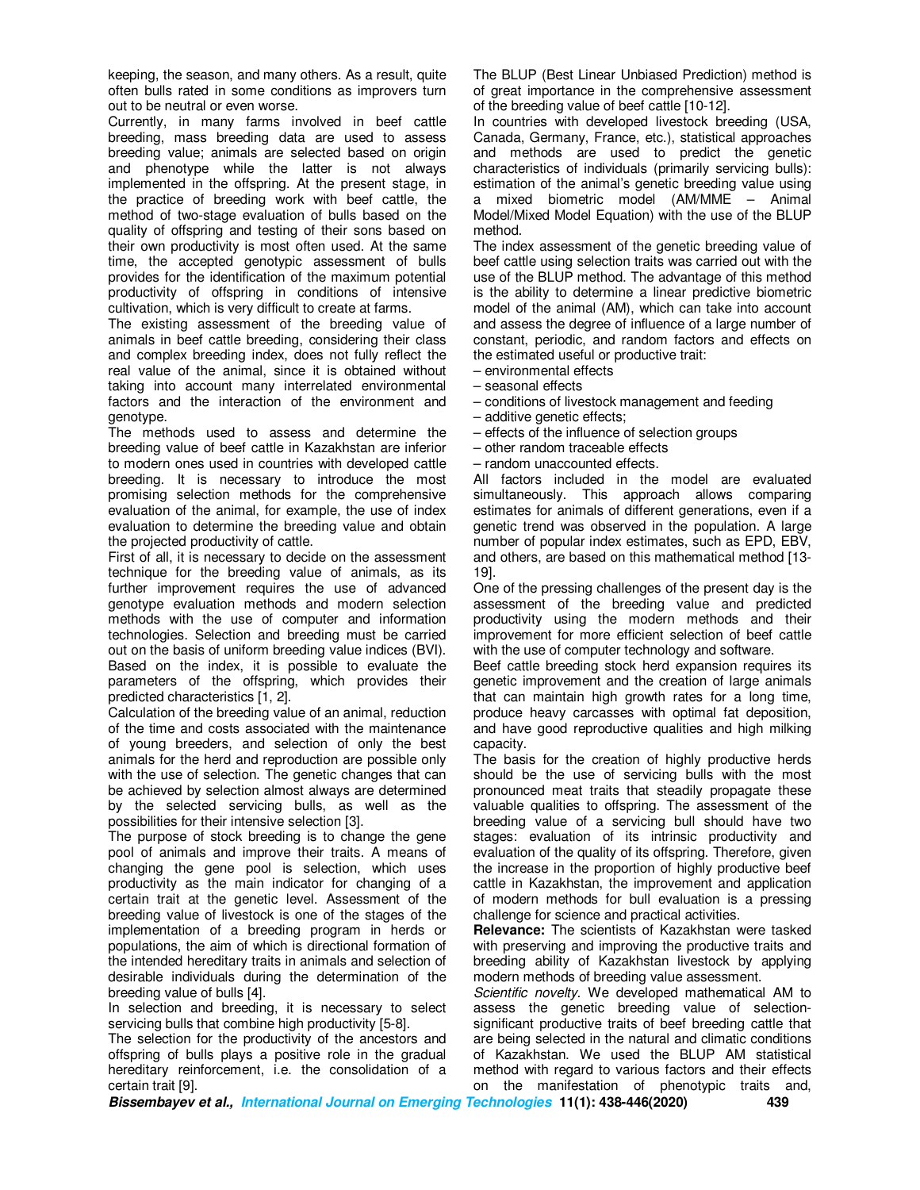keeping, the season, and many others. As a result, quite often bulls rated in some conditions as improvers turn out to be neutral or even worse.

Currently, in many farms involved in beef cattle breeding, mass breeding data are used to assess breeding value; animals are selected based on origin and phenotype while the latter is not always implemented in the offspring. At the present stage, in the practice of breeding work with beef cattle, the method of two-stage evaluation of bulls based on the quality of offspring and testing of their sons based on their own productivity is most often used. At the same time, the accepted genotypic assessment of bulls provides for the identification of the maximum potential productivity of offspring in conditions of intensive cultivation, which is very difficult to create at farms.

The existing assessment of the breeding value of animals in beef cattle breeding, considering their class and complex breeding index, does not fully reflect the real value of the animal, since it is obtained without taking into account many interrelated environmental factors and the interaction of the environment and genotype.

The methods used to assess and determine the breeding value of beef cattle in Kazakhstan are inferior to modern ones used in countries with developed cattle breeding. It is necessary to introduce the most promising selection methods for the comprehensive evaluation of the animal, for example, the use of index evaluation to determine the breeding value and obtain the projected productivity of cattle.

First of all, it is necessary to decide on the assessment technique for the breeding value of animals, as its further improvement requires the use of advanced genotype evaluation methods and modern selection methods with the use of computer and information technologies. Selection and breeding must be carried out on the basis of uniform breeding value indices (BVI). Based on the index, it is possible to evaluate the parameters of the offspring, which provides their predicted characteristics [1, 2].

Calculation of the breeding value of an animal, reduction of the time and costs associated with the maintenance of young breeders, and selection of only the best animals for the herd and reproduction are possible only with the use of selection. The genetic changes that can be achieved by selection almost always are determined by the selected servicing bulls, as well as the possibilities for their intensive selection [3].

The purpose of stock breeding is to change the gene pool of animals and improve their traits. A means of changing the gene pool is selection, which uses productivity as the main indicator for changing of a certain trait at the genetic level. Assessment of the breeding value of livestock is one of the stages of the implementation of a breeding program in herds or populations, the aim of which is directional formation of the intended hereditary traits in animals and selection of desirable individuals during the determination of the breeding value of bulls [4].

In selection and breeding, it is necessary to select servicing bulls that combine high productivity [5-8].

The selection for the productivity of the ancestors and offspring of bulls plays a positive role in the gradual hereditary reinforcement, i.e. the consolidation of a certain trait [9].

The BLUP (Best Linear Unbiased Prediction) method is of great importance in the comprehensive assessment of the breeding value of beef cattle [10-12].

In countries with developed livestock breeding (USA, Canada, Germany, France, etc.), statistical approaches and methods are used to predict the genetic characteristics of individuals (primarily servicing bulls): estimation of the animal's genetic breeding value using a mixed biometric model (AM/MME – Animal Model/Mixed Model Equation) with the use of the BLUP method.

The index assessment of the genetic breeding value of beef cattle using selection traits was carried out with the use of the BLUP method. The advantage of this method is the ability to determine a linear predictive biometric model of the animal (AM), which can take into account and assess the degree of influence of a large number of constant, periodic, and random factors and effects on the estimated useful or productive trait:

– environmental effects

- seasonal effects
- conditions of livestock management and feeding
- additive genetic effects;
- effects of the influence of selection groups
- other random traceable effects
- random unaccounted effects.

All factors included in the model are evaluated simultaneously. This approach allows comparing estimates for animals of different generations, even if a genetic trend was observed in the population. A large number of popular index estimates, such as EPD, EBV, and others, are based on this mathematical method [13- 19].

One of the pressing challenges of the present day is the assessment of the breeding value and predicted productivity using the modern methods and their improvement for more efficient selection of beef cattle with the use of computer technology and software.

Beef cattle breeding stock herd expansion requires its genetic improvement and the creation of large animals that can maintain high growth rates for a long time, produce heavy carcasses with optimal fat deposition, and have good reproductive qualities and high milking capacity.

The basis for the creation of highly productive herds should be the use of servicing bulls with the most pronounced meat traits that steadily propagate these valuable qualities to offspring. The assessment of the breeding value of a servicing bull should have two stages: evaluation of its intrinsic productivity and evaluation of the quality of its offspring. Therefore, given the increase in the proportion of highly productive beef cattle in Kazakhstan, the improvement and application of modern methods for bull evaluation is a pressing challenge for science and practical activities.

**Relevance:** The scientists of Kazakhstan were tasked with preserving and improving the productive traits and breeding ability of Kazakhstan livestock by applying modern methods of breeding value assessment.

*Scientific novelty*. We developed mathematical AM to assess the genetic breeding value of selectionsignificant productive traits of beef breeding cattle that are being selected in the natural and climatic conditions of Kazakhstan. We used the BLUP AM statistical method with regard to various factors and their effects on the manifestation of phenotypic traits and,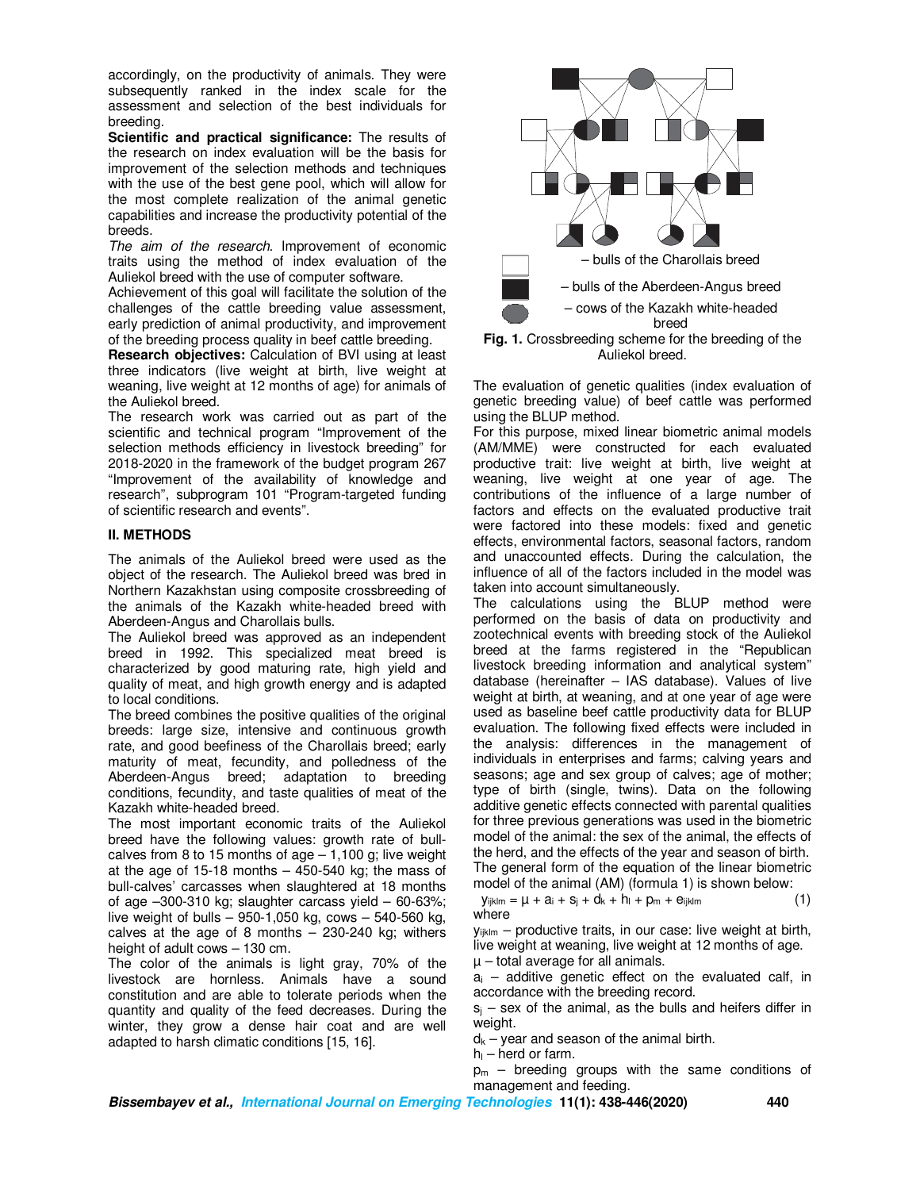accordingly, on the productivity of animals. They were subsequently ranked in the index scale for the assessment and selection of the best individuals for breeding.

**Scientific and practical significance:** The results of the research on index evaluation will be the basis for improvement of the selection methods and techniques with the use of the best gene pool, which will allow for the most complete realization of the animal genetic capabilities and increase the productivity potential of the breeds.

*The aim of the research*. Improvement of economic traits using the method of index evaluation of the Auliekol breed with the use of computer software.

Achievement of this goal will facilitate the solution of the challenges of the cattle breeding value assessment, early prediction of animal productivity, and improvement of the breeding process quality in beef cattle breeding.

**Research objectives:** Calculation of BVI using at least three indicators (live weight at birth, live weight at weaning, live weight at 12 months of age) for animals of the Auliekol breed.

The research work was carried out as part of the scientific and technical program "Improvement of the selection methods efficiency in livestock breeding" for 2018-2020 in the framework of the budget program 267 "Improvement of the availability of knowledge and research", subprogram 101 "Program-targeted funding of scientific research and events".

## **II. METHODS**

The animals of the Auliekol breed were used as the object of the research. The Auliekol breed was bred in Northern Kazakhstan using composite crossbreeding of the animals of the Kazakh white-headed breed with Aberdeen-Angus and Charollais bulls.

The Auliekol breed was approved as an independent breed in 1992. This specialized meat breed is characterized by good maturing rate, high yield and quality of meat, and high growth energy and is adapted to local conditions.

The breed combines the positive qualities of the original breeds: large size, intensive and continuous growth rate, and good beefiness of the Charollais breed; early maturity of meat, fecundity, and polledness of the Aberdeen-Angus breed; adaptation to breeding conditions, fecundity, and taste qualities of meat of the Kazakh white-headed breed.

The most important economic traits of the Auliekol breed have the following values: growth rate of bullcalves from 8 to 15 months of age  $-1,100$  g; live weight at the age of 15-18 months  $-$  450-540 kg; the mass of bull-calves' carcasses when slaughtered at 18 months of age –300-310 kg; slaughter carcass yield – 60-63%; live weight of bulls – 950-1,050 kg, cows – 540-560 kg, calves at the age of 8 months  $-$  230-240 kg; withers height of adult cows – 130 cm.

The color of the animals is light gray, 70% of the livestock are hornless. Animals have a sound constitution and are able to tolerate periods when the quantity and quality of the feed decreases. During the winter, they grow a dense hair coat and are well adapted to harsh climatic conditions [15, 16].



**Fig. 1.** Crossbreeding scheme for the breeding of the Auliekol breed.

The evaluation of genetic qualities (index evaluation of genetic breeding value) of beef cattle was performed using the BLUP method.

For this purpose, mixed linear biometric animal models (AM/MME) were constructed for each evaluated productive trait: live weight at birth, live weight at weaning, live weight at one year of age. The contributions of the influence of a large number of factors and effects on the evaluated productive trait were factored into these models: fixed and genetic effects, environmental factors, seasonal factors, random and unaccounted effects. During the calculation, the influence of all of the factors included in the model was taken into account simultaneously.

The calculations using the BLUP method were performed on the basis of data on productivity and zootechnical events with breeding stock of the Auliekol breed at the farms registered in the "Republican livestock breeding information and analytical system" database (hereinafter – IAS database). Values of live weight at birth, at weaning, and at one year of age were used as baseline beef cattle productivity data for BLUP evaluation. The following fixed effects were included in the analysis: differences in the management of individuals in enterprises and farms; calving years and seasons; age and sex group of calves; age of mother; type of birth (single, twins). Data on the following additive genetic effects connected with parental qualities for three previous generations was used in the biometric model of the animal: the sex of the animal, the effects of the herd, and the effects of the year and season of birth. The general form of the equation of the linear biometric model of the animal (AM) (formula 1) is shown below:

$$
y_{ijklm} = \mu + a_i + s_j + d_k + h_l + p_m + e_{ijklm}
$$
 (1)  
where

 $y_{ijklm}$  – productive traits, in our case: live weight at birth, live weight at weaning, live weight at 12 months of age.  $\mu$  – total average for all animals.

 $a_i$  – additive genetic effect on the evaluated calf, in accordance with the breeding record.

 $s_i$  – sex of the animal, as the bulls and heifers differ in weight.

 $d_k$  – year and season of the animal birth.

 $h_{\parallel}$  – herd or farm.

 $p_m$  – breeding groups with the same conditions of management and feeding.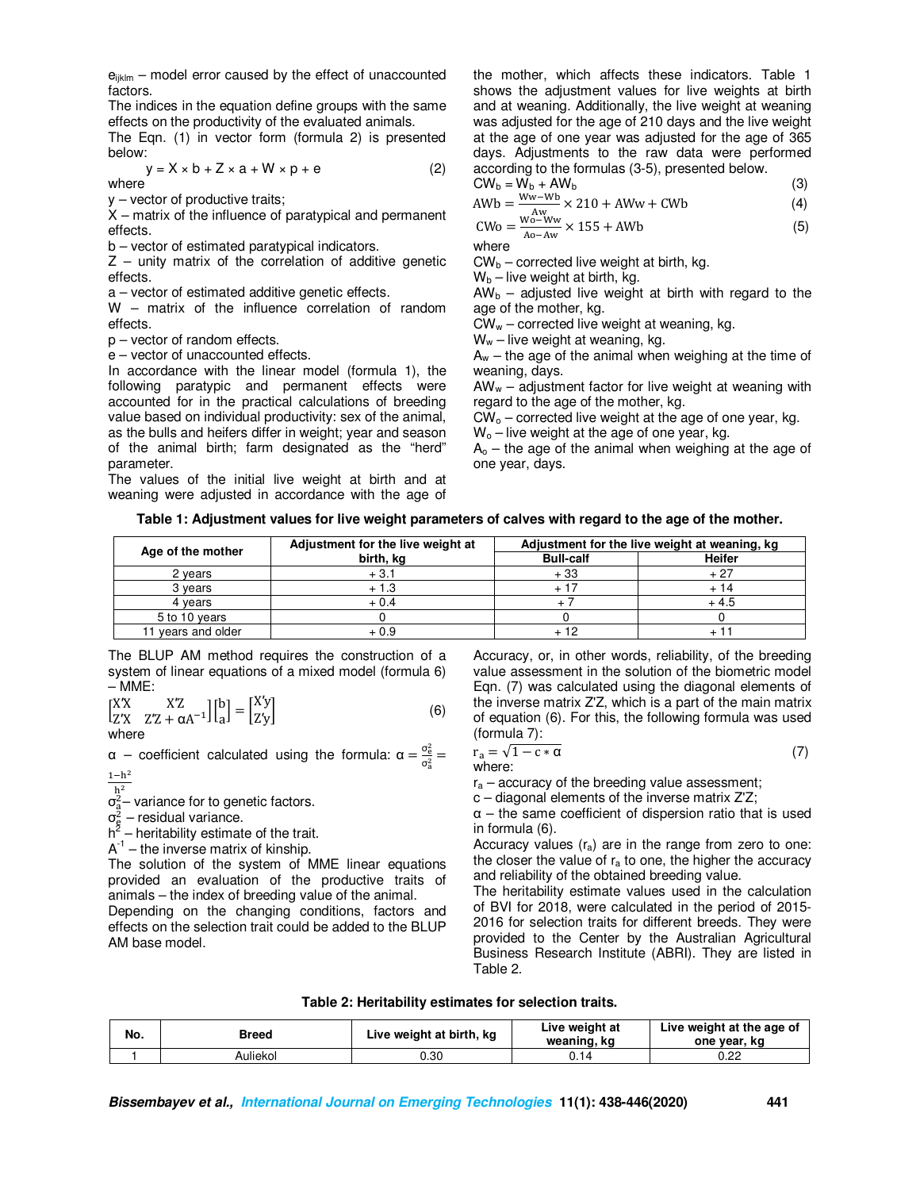$e_{ijklm}$  – model error caused by the effect of unaccounted factors.

The indices in the equation define groups with the same effects on the productivity of the evaluated animals.

The Eqn. (1) in vector form (formula 2) is presented below:

$$
y = X \times b + Z \times a + W \times p + e \tag{2}
$$

y – vector of productive traits;

X – matrix of the influence of paratypical and permanent effects.

b – vector of estimated paratypical indicators.

 $Z$  – unity matrix of the correlation of additive genetic effects.

a – vector of estimated additive genetic effects.

W – matrix of the influence correlation of random effects.

p – vector of random effects.

e – vector of unaccounted effects.

In accordance with the linear model (formula 1), the following paratypic and permanent effects were accounted for in the practical calculations of breeding value based on individual productivity: sex of the animal, as the bulls and heifers differ in weight; year and season of the animal birth; farm designated as the "herd" parameter.

The values of the initial live weight at birth and at weaning were adjusted in accordance with the age of

the mother, which affects these indicators. Table 1 shows the adjustment values for live weights at birth and at weaning. Additionally, the live weight at weaning was adjusted for the age of 210 days and the live weight at the age of one year was adjusted for the age of 365 days. Adjustments to the raw data were performed according to the formulas (3-5), presented below.

$$
CW_b = W_b + AW_b \tag{3}
$$

$$
AWb = \frac{Ww - Wb}{W^2} \times 210 + AWw + CWb
$$
 (4)

$$
CWo = \frac{Wo - Ww}{Ao - Aw} \times 155 + AWb
$$
 (5)

 $CW_b$  – corrected live weight at birth, kg.

 $W_b$  – live weight at birth, kg.

 $AW<sub>b</sub>$  – adjusted live weight at birth with regard to the age of the mother, kg.

 $CW_w$  – corrected live weight at weaning, kg.

 $W_w$  – live weight at weaning, kg.

 $A_w$  – the age of the animal when weighing at the time of weaning, days.

 $AW_w -$  adjustment factor for live weight at weaning with regard to the age of the mother, kg.

 $CW_0$  – corrected live weight at the age of one year, kg.  $W_0$  – live weight at the age of one year, kg.

 $A<sub>o</sub>$  – the age of the animal when weighing at the age of one year, days.

**Table 1: Adjustment values for live weight parameters of calves with regard to the age of the mother.** 

| Age of the mother  | Adjustment for the live weight at | Adjustment for the live weight at weaning, kg |               |  |
|--------------------|-----------------------------------|-----------------------------------------------|---------------|--|
|                    | birth, ka                         | <b>Bull-calf</b>                              | <b>Heifer</b> |  |
| 2 years            | $+3.1$                            | $+33$                                         | + 27          |  |
| 3 vears            | + 1.3                             |                                               |               |  |
| 4 vears            | + 0.4                             |                                               | $+4.5$        |  |
| 5 to 10 years      |                                   |                                               |               |  |
| 11 years and older | + 0.9                             |                                               |               |  |

The BLUP AM method requires the construction of a system of linear equations of a mixed model (formula 6) – MME:

$$
\begin{bmatrix} XX & XZ \\ Z'X & Z'Z + \alpha A^{-1} \end{bmatrix} \begin{bmatrix} b \\ a \end{bmatrix} = \begin{bmatrix} X'y \\ Z'y \end{bmatrix}
$$
 (6)

where

 $\alpha$  – coefficient calculated using the formula:  $\alpha = \frac{\sigma_e^2}{\sigma^2}$  $\frac{\sigma_{\rm e}}{\sigma_{\rm a}^2}$  =  $1 - h^2$ 

 $h<sup>2</sup>$ 

 $\sigma_{\rm a}^2$ – variance for to genetic factors.

 $\sigma_{\rm g}^2$  – residual variance.

 $h^2$  – heritability estimate of the trait.

 $A^{-1}$  – the inverse matrix of kinship.

The solution of the system of MME linear equations provided an evaluation of the productive traits of animals – the index of breeding value of the animal.

Depending on the changing conditions, factors and effects on the selection trait could be added to the BLUP AM base model.

Accuracy, or, in other words, reliability, of the breeding value assessment in the solution of the biometric model Eqn. (7) was calculated using the diagonal elements of the inverse matrix Z'Z, which is a part of the main matrix of equation (6). For this, the following formula was used (formula 7):

$$
r_a = \sqrt{1 - c * \alpha} \tag{7}
$$
 where:

 $r_a$  – accuracy of the breeding value assessment;

c – diagonal elements of the inverse matrix Z'Z;

 $\alpha$  – the same coefficient of dispersion ratio that is used in formula (6).

Accuracy values  $(r_a)$  are in the range from zero to one: the closer the value of  $r_a$  to one, the higher the accuracy and reliability of the obtained breeding value.

The heritability estimate values used in the calculation of BVI for 2018, were calculated in the period of 2015- 2016 for selection traits for different breeds. They were provided to the Center by the Australian Agricultural Business Research Institute (ABRI). They are listed in Table 2.

| Table 2: Heritability estimates for selection traits. |  |  |
|-------------------------------------------------------|--|--|
|-------------------------------------------------------|--|--|

| No. | Breed    | Live weight at birth, kg | Live weight at<br>weaning, kg | Live weight at the age of<br>one year, kg |
|-----|----------|--------------------------|-------------------------------|-------------------------------------------|
|     | Auliekol | ว.30                     |                               | 0.22                                      |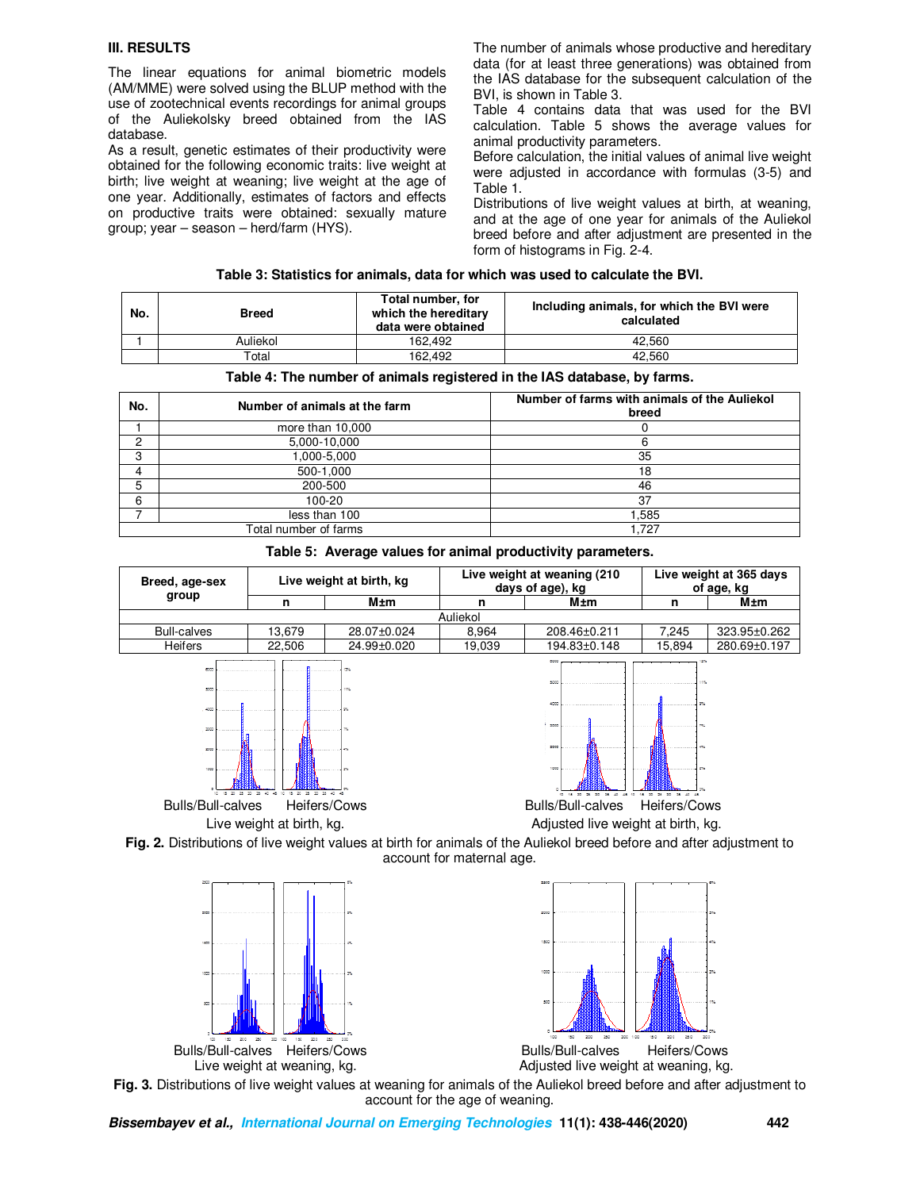#### **III. RESULTS**

The linear equations for animal biometric models (AM/MME) were solved using the BLUP method with the use of zootechnical events recordings for animal groups of the Auliekolsky breed obtained from the IAS database.

As a result, genetic estimates of their productivity were obtained for the following economic traits: live weight at birth; live weight at weaning; live weight at the age of one year. Additionally, estimates of factors and effects on productive traits were obtained: sexually mature group; year – season – herd/farm (HYS).

The number of animals whose productive and hereditary data (for at least three generations) was obtained from the IAS database for the subsequent calculation of the BVI, is shown in Table 3.

Table 4 contains data that was used for the BVI calculation. Table 5 shows the average values for animal productivity parameters.

Before calculation, the initial values of animal live weight were adjusted in accordance with formulas (3-5) and Table 1.

Distributions of live weight values at birth, at weaning, and at the age of one year for animals of the Auliekol breed before and after adjustment are presented in the form of histograms in Fig. 2-4.

| No. | <b>Breed</b> | Total number, for<br>which the hereditary<br>data were obtained | Including animals, for which the BVI were<br>calculated |
|-----|--------------|-----------------------------------------------------------------|---------------------------------------------------------|
|     | Auliekol     | 162.492                                                         | 42.560                                                  |
|     | ™otal        | 162.492                                                         | 42.560                                                  |

#### **Table 4: The number of animals registered in the IAS database, by farms.**

| No. | Number of animals at the farm | Number of farms with animals of the Auliekol<br>breed |
|-----|-------------------------------|-------------------------------------------------------|
|     | more than 10,000              |                                                       |
| ົ   | 5,000-10,000                  |                                                       |
| c   | 1,000-5,000                   | 35                                                    |
| 4   | 500-1,000                     | 18                                                    |
| 5   | 200-500                       | 46                                                    |
| 6   | 100-20                        | 37                                                    |
|     | less than 100                 | .585                                                  |
|     | Total number of farms         | 1.727                                                 |

|  |  |  |  |  | Table 5: Average values for animal productivity parameters. |
|--|--|--|--|--|-------------------------------------------------------------|
|--|--|--|--|--|-------------------------------------------------------------|

| Breed, age-sex     |        | Live weight at birth, kg | Live weight at weaning (210)<br>days of age), kg |              | Live weight at 365 days<br>of age, kg |              |
|--------------------|--------|--------------------------|--------------------------------------------------|--------------|---------------------------------------|--------------|
| group              |        | M±m                      |                                                  | M±m          |                                       | M±m          |
|                    |        |                          | Auliekol                                         |              |                                       |              |
| <b>Bull-calves</b> | 13.679 | 28.07±0.024              | 8.964                                            | 208.46+0.211 | 7.245                                 | 323.95±0.262 |
| <b>Heifers</b>     | 22.506 | 24.99±0.020              | 19,039                                           | 194.83±0.148 | 15.894                                | 280.69±0.197 |





Live weight at birth, kg. Adjusted live weight at birth, kg.

**Fig. 2.** Distributions of live weight values at birth for animals of the Auliekol breed before and after adjustment to account for maternal age.



**Fig. 3.** Distributions of live weight values at weaning for animals of the Auliekol breed before and after adjustment to account for the age of weaning.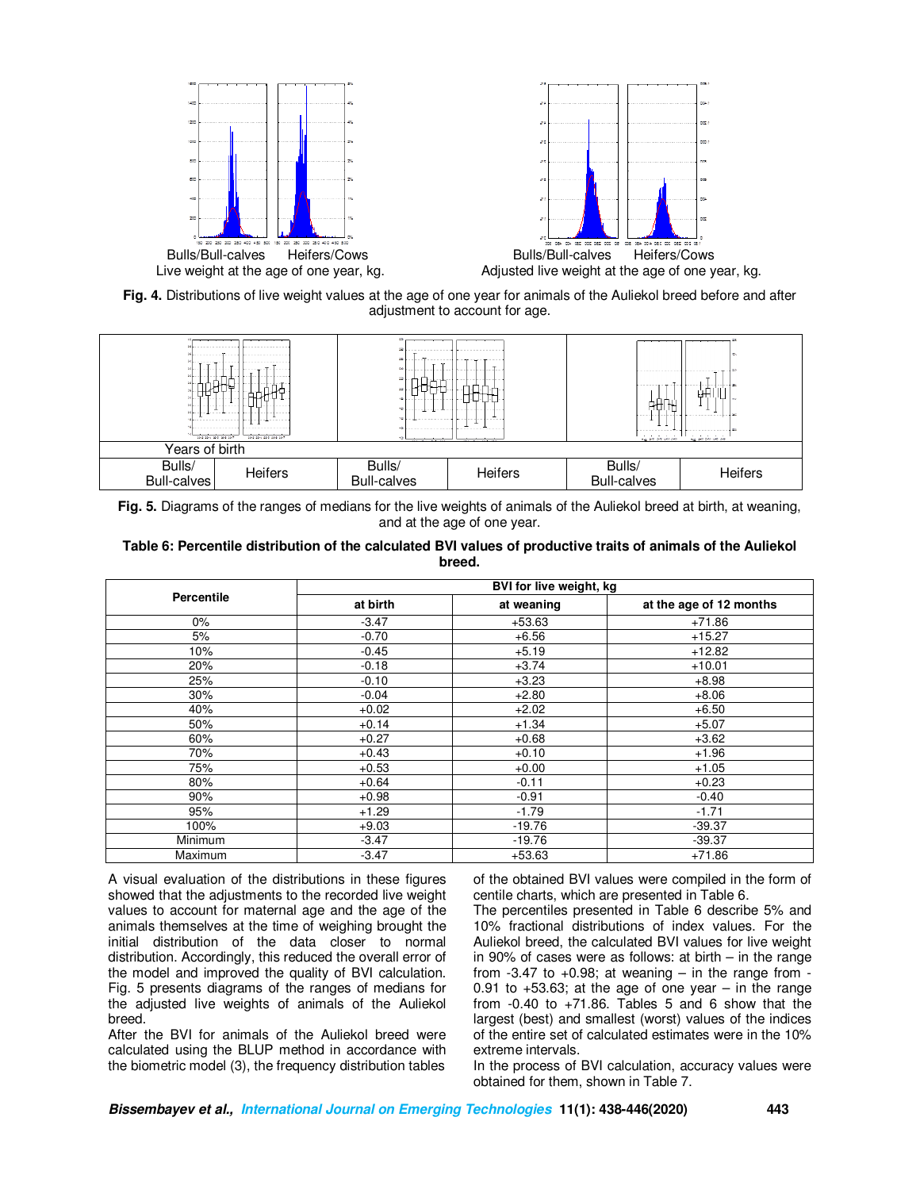

**Fig. 4.** Distributions of live weight values at the age of one year for animals of the Auliekol breed before and after adjustment to account for age.



**Fig. 5.** Diagrams of the ranges of medians for the live weights of animals of the Auliekol breed at birth, at weaning, and at the age of one year.

## **Table 6: Percentile distribution of the calculated BVI values of productive traits of animals of the Auliekol breed.**

|                   |          | BVI for live weight, kg |                         |
|-------------------|----------|-------------------------|-------------------------|
| <b>Percentile</b> | at birth | at weaning              | at the age of 12 months |
| $0\%$             | $-3.47$  | $+53.63$                | $+71.86$                |
| 5%                | $-0.70$  | $+6.56$                 | $+15.27$                |
| 10%               | $-0.45$  | $+5.19$                 | $+12.82$                |
| 20%               | $-0.18$  | $+3.74$                 | $+10.01$                |
| 25%               | $-0.10$  | $+3.23$                 | $+8.98$                 |
| 30%               | $-0.04$  | $+2.80$                 | $+8.06$                 |
| 40%               | $+0.02$  | $+2.02$                 | $+6.50$                 |
| 50%               | $+0.14$  | $+1.34$                 | $+5.07$                 |
| 60%               | $+0.27$  | $+0.68$                 | $+3.62$                 |
| 70%               | $+0.43$  | $+0.10$                 | $+1.96$                 |
| 75%               | $+0.53$  | $+0.00$                 | $+1.05$                 |
| 80%               | $+0.64$  | $-0.11$                 | $+0.23$                 |
| 90%               | $+0.98$  | $-0.91$                 | $-0.40$                 |
| 95%               | $+1.29$  | $-1.79$                 | $-1.71$                 |
| 100%              | $+9.03$  | $-19.76$                | $-39.37$                |
| Minimum           | $-3.47$  | $-19.76$                | $-39.37$                |
| Maximum           | $-3.47$  | $+53.63$                | $+71.86$                |

A visual evaluation of the distributions in these figures showed that the adjustments to the recorded live weight values to account for maternal age and the age of the animals themselves at the time of weighing brought the initial distribution of the data closer to normal distribution. Accordingly, this reduced the overall error of the model and improved the quality of BVI calculation. Fig. 5 presents diagrams of the ranges of medians for the adjusted live weights of animals of the Auliekol breed.

After the BVI for animals of the Auliekol breed were calculated using the BLUP method in accordance with the biometric model (3), the frequency distribution tables

of the obtained BVI values were compiled in the form of centile charts, which are presented in Table 6.

The percentiles presented in Table 6 describe 5% and 10% fractional distributions of index values. For the Auliekol breed, the calculated BVI values for live weight in 90% of cases were as follows: at birth  $-$  in the range from  $-3.47$  to  $+0.98$ ; at weaning  $-$  in the range from  $-$ 0.91 to  $+53.63$ ; at the age of one year – in the range from  $-0.40$  to  $+71.86$ . Tables 5 and 6 show that the largest (best) and smallest (worst) values of the indices of the entire set of calculated estimates were in the 10% extreme intervals.

In the process of BVI calculation, accuracy values were obtained for them, shown in Table 7.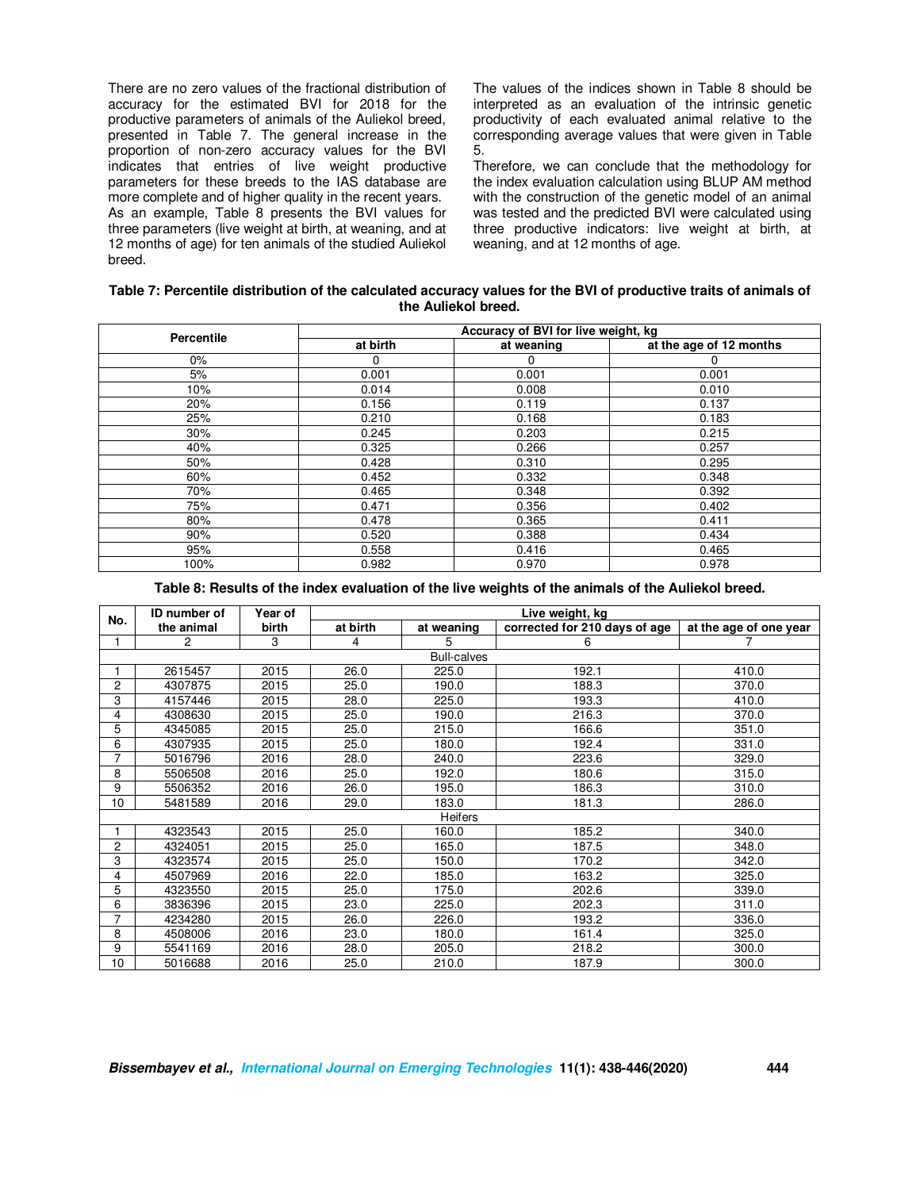There are no zero values of the fractional distribution of accuracy for the estimated BVI for 2018 for the productive parameters of animals of the Auliekol breed, presented in Table 7. The general increase in the proportion of non-zero accuracy values for the BVI indicates that entries of live weight productive parameters for these breeds to the IAS database are more complete and of higher quality in the recent years. As an example, Table 8 presents the BVI values for three parameters (live weight at birth, at weaning, and at 12 months of age) for ten animals of the studied Auliekol breed.

The values of the indices shown in Table 8 should be interpreted as an evaluation of the intrinsic genetic productivity of each evaluated animal relative to the corresponding average values that were given in Table 5.

Therefore, we can conclude that the methodology for the index evaluation calculation using BLUP AM method with the construction of the genetic model of an animal was tested and the predicted BVI were calculated using three productive indicators: live weight at birth, at weaning, and at 12 months of age.

| Table 7: Percentile distribution of the calculated accuracy values for the BVI of productive traits of animals of |
|-------------------------------------------------------------------------------------------------------------------|
| the Auliekol breed.                                                                                               |

| <b>Percentile</b> | Accuracy of BVI for live weight, kg |            |                         |  |  |
|-------------------|-------------------------------------|------------|-------------------------|--|--|
|                   | at birth                            | at weaning | at the age of 12 months |  |  |
| $0\%$             | 0                                   | 0          |                         |  |  |
| 5%                | 0.001                               | 0.001      | 0.001                   |  |  |
| 10%               | 0.014                               | 0.008      | 0.010                   |  |  |
| 20%               | 0.156                               | 0.119      | 0.137                   |  |  |
| 25%               | 0.210                               | 0.168      | 0.183                   |  |  |
| 30%               | 0.245                               | 0.203      | 0.215                   |  |  |
| 40%               | 0.325                               | 0.266      | 0.257                   |  |  |
| 50%               | 0.428                               | 0.310      | 0.295                   |  |  |
| 60%               | 0.452                               | 0.332      | 0.348                   |  |  |
| 70%               | 0.465                               | 0.348      | 0.392                   |  |  |
| 75%               | 0.471                               | 0.356      | 0.402                   |  |  |
| 80%               | 0.478                               | 0.365      | 0.411                   |  |  |
| 90%               | 0.520                               | 0.388      | 0.434                   |  |  |
| 95%               | 0.558                               | 0.416      | 0.465                   |  |  |
| 100%              | 0.982                               | 0.970      | 0.978                   |  |  |

**Table 8: Results of the index evaluation of the live weights of the animals of the Auliekol breed.** 

| No. | <b>ID</b> number of | Year of | Live weight, kg |                    |                               |                        |
|-----|---------------------|---------|-----------------|--------------------|-------------------------------|------------------------|
|     | the animal          | birth   | at birth        | at weaning         | corrected for 210 days of age | at the age of one year |
|     | 2                   | 3       | 4               | 5.                 | 6                             |                        |
|     |                     |         |                 | <b>Bull-calves</b> |                               |                        |
|     | 2615457             | 2015    | 26.0            | 225.0              | 192.1                         | 410.0                  |
| 2   | 4307875             | 2015    | 25.0            | 190.0              | 188.3                         | 370.0                  |
| 3   | 4157446             | 2015    | 28.0            | 225.0              | 193.3                         | 410.0                  |
| 4   | 4308630             | 2015    | 25.0            | 190.0              | 216.3                         | 370.0                  |
| 5   | 4345085             | 2015    | 25.0            | 215.0              | 166.6                         | 351.0                  |
| 6   | 4307935             | 2015    | 25.0            | 180.0              | 192.4                         | 331.0                  |
| 7   | 5016796             | 2016    | 28.0            | 240.0              | 223.6                         | 329.0                  |
| 8   | 5506508             | 2016    | 25.0            | 192.0              | 180.6                         | 315.0                  |
| 9   | 5506352             | 2016    | 26.0            | 195.0              | 186.3                         | 310.0                  |
| 10  | 5481589             | 2016    | 29.0            | 183.0              | 181.3                         | 286.0                  |
|     |                     |         |                 | <b>Heifers</b>     |                               |                        |
|     | 4323543             | 2015    | 25.0            | 160.0              | 185.2                         | 340.0                  |
| 2   | 4324051             | 2015    | 25.0            | 165.0              | 187.5                         | 348.0                  |
| 3   | 4323574             | 2015    | 25.0            | 150.0              | 170.2                         | 342.0                  |
| 4   | 4507969             | 2016    | 22.0            | 185.0              | 163.2                         | 325.0                  |
| 5   | 4323550             | 2015    | 25.0            | 175.0              | 202.6                         | 339.0                  |
| 6   | 3836396             | 2015    | 23.0            | 225.0              | 202.3                         | 311.0                  |
| 7   | 4234280             | 2015    | 26.0            | 226.0              | 193.2                         | 336.0                  |
| 8   | 4508006             | 2016    | 23.0            | 180.0              | 161.4                         | 325.0                  |
| 9   | 5541169             | 2016    | 28.0            | 205.0              | 218.2                         | 300.0                  |
| 10  | 5016688             | 2016    | 25.0            | 210.0              | 187.9                         | 300.0                  |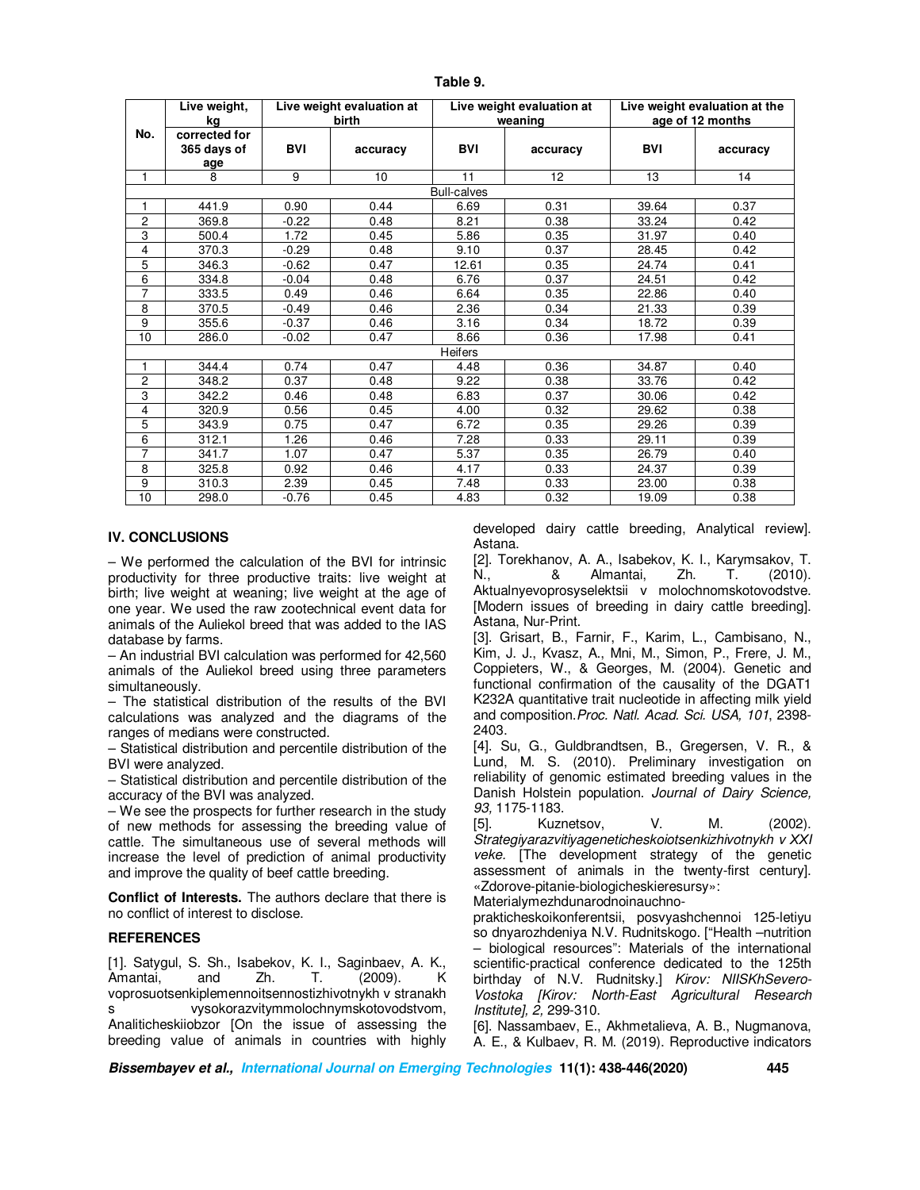|                    | Live weight,<br>kg                  | Live weight evaluation at<br>birth |          | Live weight evaluation at<br>weaning |          | Live weight evaluation at the<br>age of 12 months |          |
|--------------------|-------------------------------------|------------------------------------|----------|--------------------------------------|----------|---------------------------------------------------|----------|
| No.                | corrected for<br>365 days of<br>age | <b>BVI</b>                         | accuracy | <b>BVI</b>                           | accuracy | <b>BVI</b>                                        | accuracy |
| 1                  | 8                                   | 9                                  | 10       | 11                                   | 12       | 13                                                | 14       |
| <b>Bull-calves</b> |                                     |                                    |          |                                      |          |                                                   |          |
| 1                  | 441.9                               | 0.90                               | 0.44     | 6.69                                 | 0.31     | 39.64                                             | 0.37     |
| 2                  | 369.8                               | $-0.22$                            | 0.48     | 8.21                                 | 0.38     | 33.24                                             | 0.42     |
| 3                  | 500.4                               | 1.72                               | 0.45     | 5.86                                 | 0.35     | 31.97                                             | 0.40     |
| 4                  | 370.3                               | $-0.29$                            | 0.48     | 9.10                                 | 0.37     | 28.45                                             | 0.42     |
| 5                  | 346.3                               | $-0.62$                            | 0.47     | 12.61                                | 0.35     | 24.74                                             | 0.41     |
| 6                  | 334.8                               | $-0.04$                            | 0.48     | 6.76                                 | 0.37     | 24.51                                             | 0.42     |
| $\overline{7}$     | 333.5                               | 0.49                               | 0.46     | 6.64                                 | 0.35     | 22.86                                             | 0.40     |
| 8                  | 370.5                               | $-0.49$                            | 0.46     | 2.36                                 | 0.34     | 21.33                                             | 0.39     |
| 9                  | 355.6                               | $-0.37$                            | 0.46     | 3.16                                 | 0.34     | 18.72                                             | 0.39     |
| 10                 | 286.0                               | $-0.02$                            | 0.47     | 8.66                                 | 0.36     | 17.98                                             | 0.41     |
| Heifers            |                                     |                                    |          |                                      |          |                                                   |          |
| 1                  | 344.4                               | 0.74                               | 0.47     | 4.48                                 | 0.36     | 34.87                                             | 0.40     |
| 2                  | 348.2                               | 0.37                               | 0.48     | 9.22                                 | 0.38     | 33.76                                             | 0.42     |
| 3                  | 342.2                               | 0.46                               | 0.48     | 6.83                                 | 0.37     | 30.06                                             | 0.42     |
| 4                  | 320.9                               | 0.56                               | 0.45     | 4.00                                 | 0.32     | 29.62                                             | 0.38     |
| 5                  | 343.9                               | 0.75                               | 0.47     | 6.72                                 | 0.35     | 29.26                                             | 0.39     |
| 6                  | 312.1                               | 1.26                               | 0.46     | 7.28                                 | 0.33     | 29.11                                             | 0.39     |
| 7                  | 341.7                               | 1.07                               | 0.47     | 5.37                                 | 0.35     | 26.79                                             | 0.40     |
| 8                  | 325.8                               | 0.92                               | 0.46     | 4.17                                 | 0.33     | 24.37                                             | 0.39     |
| $\overline{9}$     | 310.3                               | 2.39                               | 0.45     | 7.48                                 | 0.33     | 23.00                                             | 0.38     |
| 10                 | 298.0                               | $-0.76$                            | 0.45     | 4.83                                 | 0.32     | 19.09                                             | 0.38     |

**Table 9.** 

## **IV. CONCLUSIONS**

– We performed the calculation of the BVI for intrinsic productivity for three productive traits: live weight at birth; live weight at weaning; live weight at the age of one year. We used the raw zootechnical event data for animals of the Auliekol breed that was added to the IAS database by farms.

– An industrial BVI calculation was performed for 42,560 animals of the Auliekol breed using three parameters simultaneously.

– The statistical distribution of the results of the BVI calculations was analyzed and the diagrams of the ranges of medians were constructed.

– Statistical distribution and percentile distribution of the BVI were analyzed.

– Statistical distribution and percentile distribution of the accuracy of the BVI was analyzed.

– We see the prospects for further research in the study of new methods for assessing the breeding value of cattle. The simultaneous use of several methods will increase the level of prediction of animal productivity and improve the quality of beef cattle breeding.

**Conflict of Interests.** The authors declare that there is no conflict of interest to disclose.

#### **REFERENCES**

[1]. Satygul, S. Sh., Isabekov, K. I., Saginbaev, A. K., Amantai, and Zh. T. (2009). K voprosuotsenkiplemennoitsennostizhivotnykh v stranakh s vysokorazvitymmolochnymskotovodstvom, Analiticheskiiobzor [On the issue of assessing the breeding value of animals in countries with highly

developed dairy cattle breeding, Analytical review]. Astana.

[2]. Torekhanov, A. A., Isabekov, K. I., Karymsakov, T. N., & Almantai, Zh. T. (2010). Aktualnyevoprosyselektsii v molochnomskotovodstve. [Modern issues of breeding in dairy cattle breeding]. Astana, Nur-Print.

[3]. Grisart, B., Farnir, F., Karim, L., Cambisano, N., Kim, J. J., Kvasz, A., Mni, M., Simon, P., Frere, J. M., Coppieters, W., & Georges, M. (2004). Genetic and functional confirmation of the causality of the DGAT1 K232A quantitative trait nucleotide in affecting milk yield and composition.*Proc. Natl. Acad. Sci. USA, 101*, 2398- 2403.

[4]. Su, G., Guldbrandtsen, B., Gregersen, V. R., & Lund, M. S. (2010). Preliminary investigation on reliability of genomic estimated breeding values in the Danish Holstein population. *Journal of Dairy Science, 93,* 1175-1183.

[5]. Kuznetsov, V. M. (2002). *Strategiyarazvitiyageneticheskoiotsenkizhivotnykh v ХХI veke.* [The development strategy of the genetic assessment of animals in the twenty-first century]. «Zdorove-pitanie-biologicheskieresursy»:

Materialymezhdunarodnoinauchno-

prakticheskoikonferentsii, posvyashchennoi 125-letiyu so dnyarozhdeniya N.V. Rudnitskogo. ["Health –nutrition – biological resources": Materials of the international scientific-practical conference dedicated to the 125th birthday of N.V. Rudnitsky.] *Kirov: NIISKhSevero-Vostoka [Kirov: North-East Agricultural Research Institute], 2,* 299-310.

[6]. Nassambaev, E., Akhmetalieva, A. B., Nugmanova, A. E., & Kulbaev, R. M. (2019). Reproductive indicators